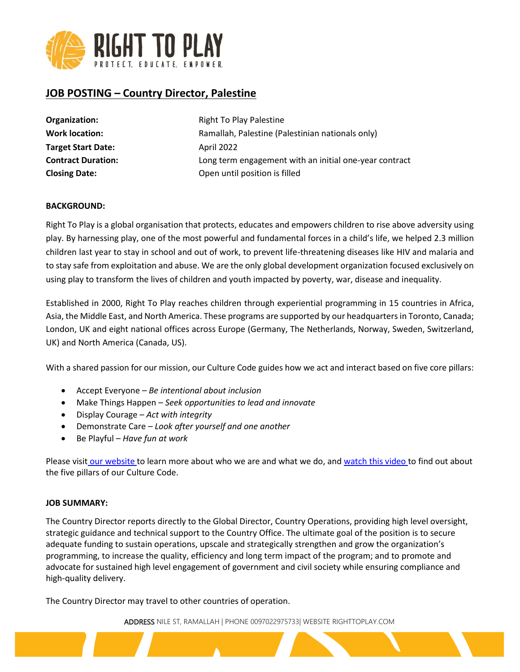

# **JOB POSTING – Country Director, Palestine**

| Organization:             | Right To Play Palestine                                |
|---------------------------|--------------------------------------------------------|
| <b>Work location:</b>     | Ramallah, Palestine (Palestinian nationals only)       |
| <b>Target Start Date:</b> | April 2022                                             |
| <b>Contract Duration:</b> | Long term engagement with an initial one-year contract |
| <b>Closing Date:</b>      | Open until position is filled                          |

## **BACKGROUND:**

Right To Play is a global organisation that protects, educates and empowers children to rise above adversity using play. By harnessing play, one of the most powerful and fundamental forces in a child's life, we helped 2.3 million children last year to stay in school and out of work, to prevent life-threatening diseases like HIV and malaria and to stay safe from exploitation and abuse. We are the only global development organization focused exclusively on using play to transform the lives of children and youth impacted by poverty, war, disease and inequality.

Established in 2000, Right To Play reaches children through experiential programming in 15 countries in Africa, Asia, the Middle East, and North America. These programs are supported by our headquarters in Toronto, Canada; London, UK and eight national offices across Europe (Germany, The Netherlands, Norway, Sweden, Switzerland, UK) and North America (Canada, US).

With a shared passion for our mission, our Culture Code guides how we act and interact based on five core pillars:

- Accept Everyone *Be intentional about inclusion*
- Make Things Happen *Seek opportunities to lead and innovate*
- Display Courage *Act with integrity*
- Demonstrate Care *Look after yourself and one another*
- Be Playful *Have fun at work*

Please visit [our website](http://www.righttoplay.ca/) to learn more about who we are and what we do, and [watch this video](https://www.righttoplay.com/en/landing/our-culture-code/) to find out about the five pillars of our Culture Code.

#### **JOB SUMMARY:**

The Country Director reports directly to the Global Director, Country Operations, providing high level oversight, strategic guidance and technical support to the Country Office. The ultimate goal of the position is to secure adequate funding to sustain operations, upscale and strategically strengthen and grow the organization's programming, to increase the quality, efficiency and long term impact of the program; and to promote and advocate for sustained high level engagement of government and civil society while ensuring compliance and high-quality delivery.

The Country Director may travel to other countries of operation.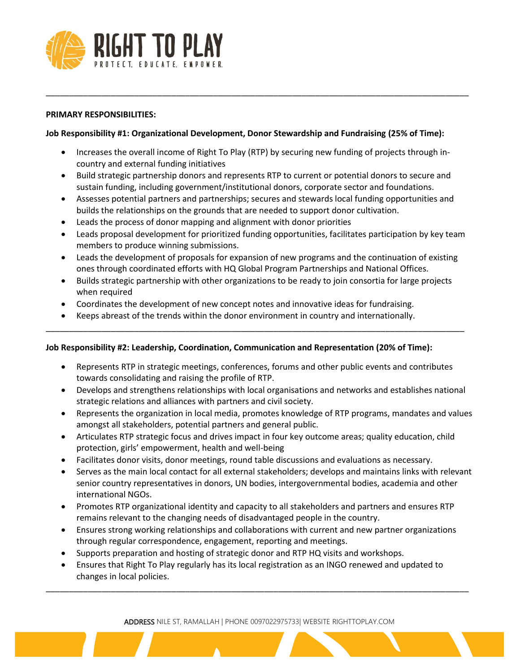

## **PRIMARY RESPONSIBILITIES:**

## **Job Responsibility #1: Organizational Development, Donor Stewardship and Fundraising (25% of Time):**

• Increases the overall income of Right To Play (RTP) by securing new funding of projects through incountry and external funding initiatives

\_\_\_\_\_\_\_\_\_\_\_\_\_\_\_\_\_\_\_\_\_\_\_\_\_\_\_\_\_\_\_\_\_\_\_\_\_\_\_\_\_\_\_\_\_\_\_\_\_\_\_\_\_\_\_\_\_\_\_\_\_\_\_\_\_\_\_\_\_\_\_\_\_\_\_\_\_\_\_\_\_\_\_\_\_\_\_\_\_\_\_

- Build strategic partnership donors and represents RTP to current or potential donors to secure and sustain funding, including government/institutional donors, corporate sector and foundations.
- Assesses potential partners and partnerships; secures and stewards local funding opportunities and builds the relationships on the grounds that are needed to support donor cultivation.
- Leads the process of donor mapping and alignment with donor priorities
- Leads proposal development for prioritized funding opportunities, facilitates participation by key team members to produce winning submissions.
- Leads the development of proposals for expansion of new programs and the continuation of existing ones through coordinated efforts with HQ Global Program Partnerships and National Offices.
- Builds strategic partnership with other organizations to be ready to join consortia for large projects when required

\_\_\_\_\_\_\_\_\_\_\_\_\_\_\_\_\_\_\_\_\_\_\_\_\_\_\_\_\_\_\_\_\_\_\_\_\_\_\_\_\_\_\_\_\_\_\_\_\_\_\_\_\_\_\_\_\_\_\_\_\_\_\_\_\_\_\_\_\_\_\_\_\_\_\_\_\_\_\_\_\_\_\_\_\_\_\_\_\_\_

- Coordinates the development of new concept notes and innovative ideas for fundraising.
- Keeps abreast of the trends within the donor environment in country and internationally.

# **Job Responsibility #2: Leadership, Coordination, Communication and Representation (20% of Time):**

- Represents RTP in strategic meetings, conferences, forums and other public events and contributes towards consolidating and raising the profile of RTP.
- Develops and strengthens relationships with local organisations and networks and establishes national strategic relations and alliances with partners and civil society.
- Represents the organization in local media, promotes knowledge of RTP programs, mandates and values amongst all stakeholders, potential partners and general public.
- Articulates RTP strategic focus and drives impact in four key outcome areas; quality education, child protection, girls' empowerment, health and well-being
- Facilitates donor visits, donor meetings, round table discussions and evaluations as necessary.
- Serves as the main local contact for all external stakeholders; develops and maintains links with relevant senior country representatives in donors, UN bodies, intergovernmental bodies, academia and other international NGOs.
- Promotes RTP organizational identity and capacity to all stakeholders and partners and ensures RTP remains relevant to the changing needs of disadvantaged people in the country.
- Ensures strong working relationships and collaborations with current and new partner organizations through regular correspondence, engagement, reporting and meetings.
- Supports preparation and hosting of strategic donor and RTP HQ visits and workshops.
- Ensures that Right To Play regularly has its local registration as an INGO renewed and updated to changes in local policies.

ADDRESS NILE ST, RAMALLAH | PHONE 0097022975733| WEBSITE RIGHTTOPLAY.COM

\_\_\_\_\_\_\_\_\_\_\_\_\_\_\_\_\_\_\_\_\_\_\_\_\_\_\_\_\_\_\_\_\_\_\_\_\_\_\_\_\_\_\_\_\_\_\_\_\_\_\_\_\_\_\_\_\_\_\_\_\_\_\_\_\_\_\_\_\_\_\_\_\_\_\_\_\_\_\_\_\_\_\_\_\_\_\_\_\_\_\_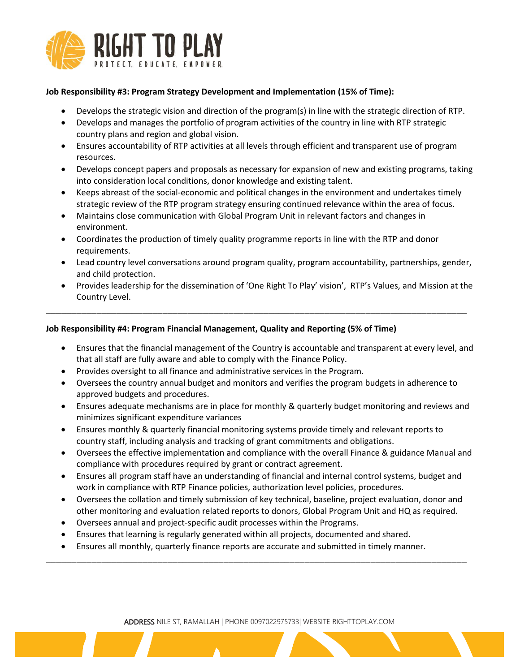

# **Job Responsibility #3: Program Strategy Development and Implementation (15% of Time):**

- Develops the strategic vision and direction of the program(s) in line with the strategic direction of RTP.
- Develops and manages the portfolio of program activities of the country in line with RTP strategic country plans and region and global vision.
- Ensures accountability of RTP activities at all levels through efficient and transparent use of program resources.
- Develops concept papers and proposals as necessary for expansion of new and existing programs, taking into consideration local conditions, donor knowledge and existing talent.
- Keeps abreast of the social-economic and political changes in the environment and undertakes timely strategic review of the RTP program strategy ensuring continued relevance within the area of focus.
- Maintains close communication with Global Program Unit in relevant factors and changes in environment.
- Coordinates the production of timely quality programme reports in line with the RTP and donor requirements.
- Lead country level conversations around program quality, program accountability, partnerships, gender, and child protection.
- Provides leadership for the dissemination of 'One Right To Play' vision', RTP's Values, and Mission at the Country Level.

\_\_\_\_\_\_\_\_\_\_\_\_\_\_\_\_\_\_\_\_\_\_\_\_\_\_\_\_\_\_\_\_\_\_\_\_\_\_\_\_\_\_\_\_\_\_\_\_\_\_\_\_\_\_\_\_\_\_\_\_\_\_\_\_\_\_\_\_\_\_\_\_\_\_\_\_\_\_\_\_\_\_\_

# **Job Responsibility #4: Program Financial Management, Quality and Reporting (5% of Time)**

- Ensures that the financial management of the Country is accountable and transparent at every level, and that all staff are fully aware and able to comply with the Finance Policy.
- Provides oversight to all finance and administrative services in the Program.
- Oversees the country annual budget and monitors and verifies the program budgets in adherence to approved budgets and procedures.
- Ensures adequate mechanisms are in place for monthly & quarterly budget monitoring and reviews and minimizes significant expenditure variances
- Ensures monthly & quarterly financial monitoring systems provide timely and relevant reports to country staff, including analysis and tracking of grant commitments and obligations.
- Oversees the effective implementation and compliance with the overall Finance & guidance Manual and compliance with procedures required by grant or contract agreement.
- Ensures all program staff have an understanding of financial and internal control systems, budget and work in compliance with RTP Finance policies, authorization level policies, procedures.
- Oversees the collation and timely submission of key technical, baseline, project evaluation, donor and other monitoring and evaluation related reports to donors, Global Program Unit and HQ as required.
- Oversees annual and project-specific audit processes within the Programs.
- Ensures that learning is regularly generated within all projects, documented and shared.
- Ensures all monthly, quarterly finance reports are accurate and submitted in timely manner.

ADDRESS NILE ST, RAMALLAH | PHONE 0097022975733| WEBSITE RIGHTTOPLAY.COM

\_\_\_\_\_\_\_\_\_\_\_\_\_\_\_\_\_\_\_\_\_\_\_\_\_\_\_\_\_\_\_\_\_\_\_\_\_\_\_\_\_\_\_\_\_\_\_\_\_\_\_\_\_\_\_\_\_\_\_\_\_\_\_\_\_\_\_\_\_\_\_\_\_\_\_\_\_\_\_\_\_\_\_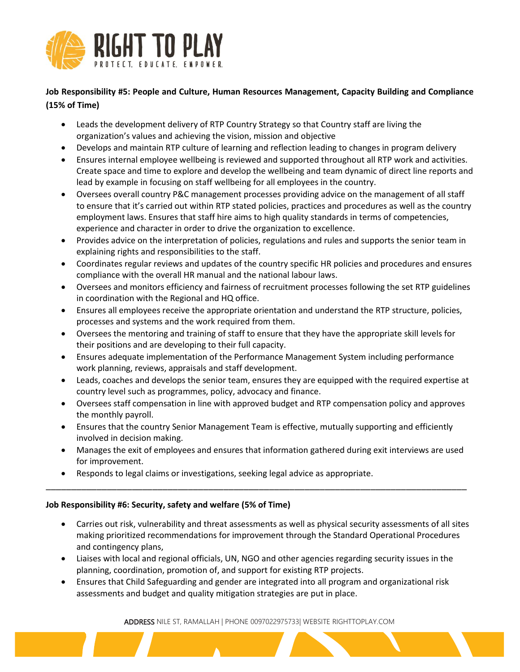

**Job Responsibility #5: People and Culture, Human Resources Management, Capacity Building and Compliance (15% of Time)**

- Leads the development delivery of RTP Country Strategy so that Country staff are living the organization's values and achieving the vision, mission and objective
- Develops and maintain RTP culture of learning and reflection leading to changes in program delivery
- Ensures internal employee wellbeing is reviewed and supported throughout all RTP work and activities. Create space and time to explore and develop the wellbeing and team dynamic of direct line reports and lead by example in focusing on staff wellbeing for all employees in the country.
- Oversees overall country P&C management processes providing advice on the management of all staff to ensure that it's carried out within RTP stated policies, practices and procedures as well as the country employment laws. Ensures that staff hire aims to high quality standards in terms of competencies, experience and character in order to drive the organization to excellence.
- Provides advice on the interpretation of policies, regulations and rules and supports the senior team in explaining rights and responsibilities to the staff.
- Coordinates regular reviews and updates of the country specific HR policies and procedures and ensures compliance with the overall HR manual and the national labour laws.
- Oversees and monitors efficiency and fairness of recruitment processes following the set RTP guidelines in coordination with the Regional and HQ office.
- Ensures all employees receive the appropriate orientation and understand the RTP structure, policies, processes and systems and the work required from them.
- Oversees the mentoring and training of staff to ensure that they have the appropriate skill levels for their positions and are developing to their full capacity.
- Ensures adequate implementation of the Performance Management System including performance work planning, reviews, appraisals and staff development.
- Leads, coaches and develops the senior team, ensures they are equipped with the required expertise at country level such as programmes, policy, advocacy and finance.
- Oversees staff compensation in line with approved budget and RTP compensation policy and approves the monthly payroll.
- Ensures that the country Senior Management Team is effective, mutually supporting and efficiently involved in decision making.

\_\_\_\_\_\_\_\_\_\_\_\_\_\_\_\_\_\_\_\_\_\_\_\_\_\_\_\_\_\_\_\_\_\_\_\_\_\_\_\_\_\_\_\_\_\_\_\_\_\_\_\_\_\_\_\_\_\_\_\_\_\_\_\_\_\_\_\_\_\_\_\_\_\_\_\_\_\_\_\_\_\_\_

- Manages the exit of employees and ensures that information gathered during exit interviews are used for improvement.
- Responds to legal claims or investigations, seeking legal advice as appropriate.

# **Job Responsibility #6: Security, safety and welfare (5% of Time)**

- Carries out risk, vulnerability and threat assessments as well as physical security assessments of all sites making prioritized recommendations for improvement through the Standard Operational Procedures and contingency plans,
- Liaises with local and regional officials, UN, NGO and other agencies regarding security issues in the planning, coordination, promotion of, and support for existing RTP projects.
- Ensures that Child Safeguarding and gender are integrated into all program and organizational risk assessments and budget and quality mitigation strategies are put in place.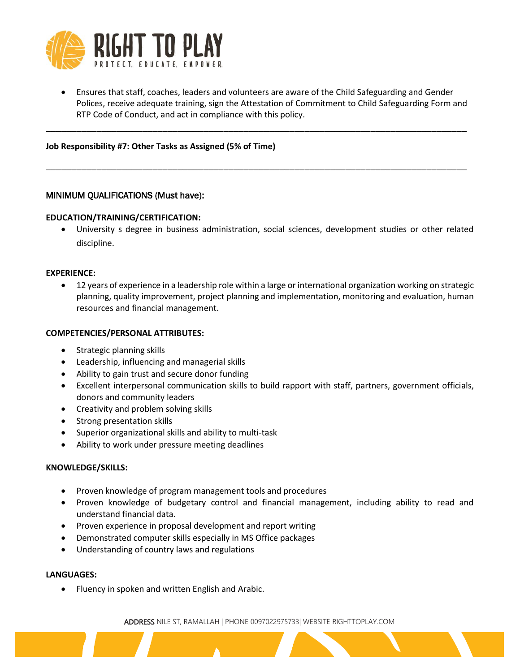

• Ensures that staff, coaches, leaders and volunteers are aware of the Child Safeguarding and Gender Polices, receive adequate training, sign the Attestation of Commitment to Child Safeguarding Form and RTP Code of Conduct, and act in compliance with this policy.

\_\_\_\_\_\_\_\_\_\_\_\_\_\_\_\_\_\_\_\_\_\_\_\_\_\_\_\_\_\_\_\_\_\_\_\_\_\_\_\_\_\_\_\_\_\_\_\_\_\_\_\_\_\_\_\_\_\_\_\_\_\_\_\_\_\_\_\_\_\_\_\_\_\_\_\_\_\_\_\_\_\_\_

\_\_\_\_\_\_\_\_\_\_\_\_\_\_\_\_\_\_\_\_\_\_\_\_\_\_\_\_\_\_\_\_\_\_\_\_\_\_\_\_\_\_\_\_\_\_\_\_\_\_\_\_\_\_\_\_\_\_\_\_\_\_\_\_\_\_\_\_\_\_\_\_\_\_\_\_\_\_\_\_\_\_\_

**Job Responsibility #7: Other Tasks as Assigned (5% of Time)**

# MINIMUM QUALIFICATIONS (Must have):

## **EDUCATION/TRAINING/CERTIFICATION:**

• University s degree in business administration, social sciences, development studies or other related discipline.

## **EXPERIENCE:**

• 12 years of experience in a leadership role within a large or international organization working on strategic planning, quality improvement, project planning and implementation, monitoring and evaluation, human resources and financial management.

## **COMPETENCIES/PERSONAL ATTRIBUTES:**

- Strategic planning skills
- Leadership, influencing and managerial skills
- Ability to gain trust and secure donor funding
- Excellent interpersonal communication skills to build rapport with staff, partners, government officials, donors and community leaders
- Creativity and problem solving skills
- Strong presentation skills
- Superior organizational skills and ability to multi-task
- Ability to work under pressure meeting deadlines

# **KNOWLEDGE/SKILLS:**

- Proven knowledge of program management tools and procedures
- Proven knowledge of budgetary control and financial management, including ability to read and understand financial data.
- Proven experience in proposal development and report writing
- Demonstrated computer skills especially in MS Office packages
- Understanding of country laws and regulations

#### **LANGUAGES:**

• Fluency in spoken and written English and Arabic.